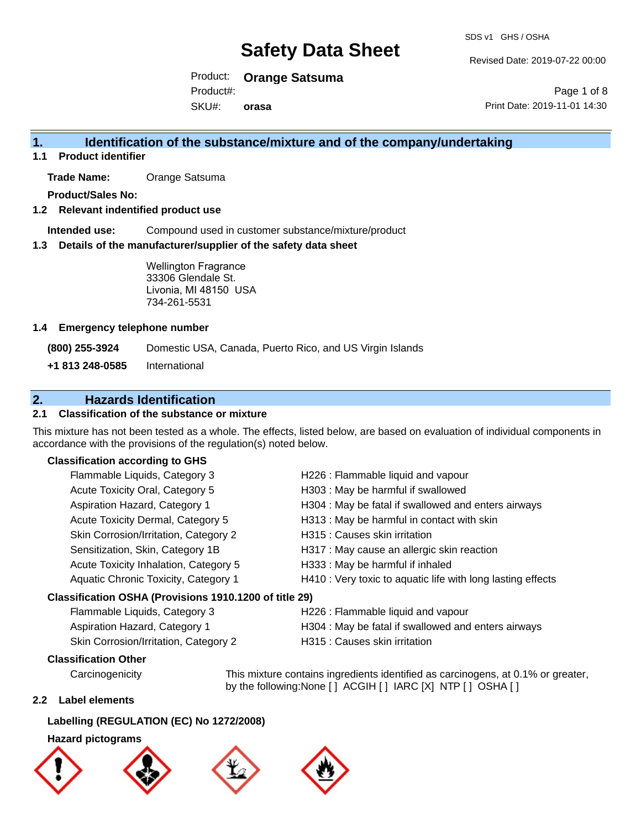Revised Date: 2019-07-22 00:00

Page 1 of 8

Product: **Orange Satsuma** Product#:

SKU#: **orasa** Print Date: 2019-11-01 14:30

### **1. Identification of the substance/mixture and of the company/undertaking**

**1.1 Product identifier**

**Trade Name:** Orange Satsuma

**Product/Sales No:**

**1.2 Relevant indentified product use**

**Intended use:** Compound used in customer substance/mixture/product

**1.3 Details of the manufacturer/supplier of the safety data sheet**

Wellington Fragrance 33306 Glendale St. Livonia, MI 48150 USA 734-261-5531

#### **1.4 Emergency telephone number**

**(800) 255-3924** Domestic USA, Canada, Puerto Rico, and US Virgin Islands

**+1 813 248-0585** International

### **2. Hazards Identification**

#### **2.1 Classification of the substance or mixture**

This mixture has not been tested as a whole. The effects, listed below, are based on evaluation of individual components in accordance with the provisions of the regulation(s) noted below.

#### **Classification according to GHS**

| H226 : Flammable liquid and vapour                          |
|-------------------------------------------------------------|
| H303 : May be harmful if swallowed                          |
| H304 : May be fatal if swallowed and enters airways         |
| H313 : May be harmful in contact with skin                  |
| H315 : Causes skin irritation                               |
| H317 : May cause an allergic skin reaction                  |
| H333: May be harmful if inhaled                             |
| H410 : Very toxic to aquatic life with long lasting effects |
| Classification OSHA (Provisions 1910.1200 of title 29)      |
| H226 : Flammable liquid and vapour                          |
| H304 : May be fatal if swallowed and enters airways         |
|                                                             |

| Skin Corrosion/Irritation, Category 2 | H315 : Causes skin irritation |
|---------------------------------------|-------------------------------|
|---------------------------------------|-------------------------------|

#### **Classification Other**

by the following:None [ ] ACGIH [ ] IARC [X] NTP [ ] OSHA [ ]

#### **2.2 Label elements**

#### **Labelling (REGULATION (EC) No 1272/2008)**

#### **Hazard pictograms**









Carcinogenicity This mixture contains ingredients identified as carcinogens, at 0.1% or greater,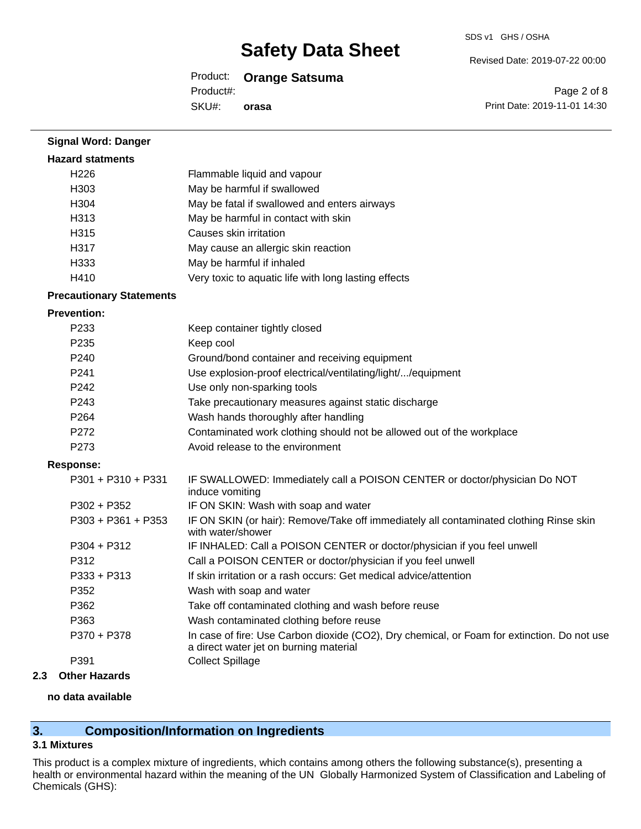#### Revised Date: 2019-07-22 00:00

Product: **Orange Satsuma**

Product#:

SKU#: **orasa**

Page 2 of 8 Print Date: 2019-11-01 14:30

| <b>Signal Word: Danger</b>      |                                                                                                                                       |
|---------------------------------|---------------------------------------------------------------------------------------------------------------------------------------|
| <b>Hazard statments</b>         |                                                                                                                                       |
| H <sub>226</sub>                | Flammable liquid and vapour                                                                                                           |
| H <sub>303</sub>                | May be harmful if swallowed                                                                                                           |
| H304                            | May be fatal if swallowed and enters airways                                                                                          |
| H313                            | May be harmful in contact with skin                                                                                                   |
| H315                            | Causes skin irritation                                                                                                                |
| H317                            | May cause an allergic skin reaction                                                                                                   |
| H333                            | May be harmful if inhaled                                                                                                             |
| H410                            | Very toxic to aquatic life with long lasting effects                                                                                  |
| <b>Precautionary Statements</b> |                                                                                                                                       |
| <b>Prevention:</b>              |                                                                                                                                       |
| P233                            | Keep container tightly closed                                                                                                         |
| P235                            | Keep cool                                                                                                                             |
| P240                            | Ground/bond container and receiving equipment                                                                                         |
| P241                            | Use explosion-proof electrical/ventilating/light//equipment                                                                           |
| P242                            | Use only non-sparking tools                                                                                                           |
| P243                            | Take precautionary measures against static discharge                                                                                  |
| P <sub>264</sub>                | Wash hands thoroughly after handling                                                                                                  |
| P272                            | Contaminated work clothing should not be allowed out of the workplace                                                                 |
| P273                            | Avoid release to the environment                                                                                                      |
| <b>Response:</b>                |                                                                                                                                       |
| P301 + P310 + P331              | IF SWALLOWED: Immediately call a POISON CENTER or doctor/physician Do NOT<br>induce vomiting                                          |
| $P302 + P352$                   | IF ON SKIN: Wash with soap and water                                                                                                  |
| P303 + P361 + P353              | IF ON SKIN (or hair): Remove/Take off immediately all contaminated clothing Rinse skin<br>with water/shower                           |
| $P304 + P312$                   | IF INHALED: Call a POISON CENTER or doctor/physician if you feel unwell                                                               |
| P312                            | Call a POISON CENTER or doctor/physician if you feel unwell                                                                           |
| P333 + P313                     | If skin irritation or a rash occurs: Get medical advice/attention                                                                     |
| P352                            | Wash with soap and water                                                                                                              |
| P362                            | Take off contaminated clothing and wash before reuse                                                                                  |
| P363                            | Wash contaminated clothing before reuse                                                                                               |
| P370 + P378                     | In case of fire: Use Carbon dioxide (CO2), Dry chemical, or Foam for extinction. Do not use<br>a direct water jet on burning material |
| P391                            | <b>Collect Spillage</b>                                                                                                               |
| <b>Other Hazards</b>            |                                                                                                                                       |
| no data available               |                                                                                                                                       |

### **3. Composition/Information on Ingredients**

#### **3.1 Mixtures**

**2.3 Other Hazards**

This product is a complex mixture of ingredients, which contains among others the following substance(s), presenting a health or environmental hazard within the meaning of the UN Globally Harmonized System of Classification and Labeling of Chemicals (GHS):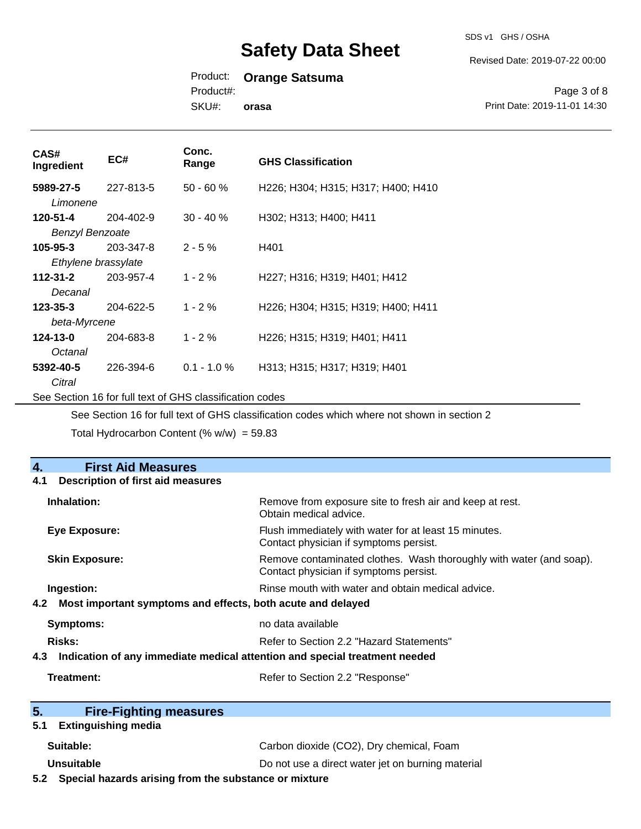SDS v1 GHS / OSHA

Revised Date: 2019-07-22 00:00

### Product: **Orange Satsuma**

Product#:

SKU#: **orasa**

Page 3 of 8 Print Date: 2019-11-01 14:30

| CAS#<br>Ingredient                                                                          | EC#       | Conc.<br>Range | <b>GHS Classification</b>          |
|---------------------------------------------------------------------------------------------|-----------|----------------|------------------------------------|
| 5989-27-5<br>Limonene                                                                       | 227-813-5 | $50 - 60 %$    | H226; H304; H315; H317; H400; H410 |
| 120-51-4                                                                                    | 204-402-9 | $30 - 40 \%$   | H302; H313; H400; H411             |
| <b>Benzyl Benzoate</b>                                                                      |           |                |                                    |
| $105 - 95 - 3$                                                                              | 203-347-8 | $2 - 5%$       | H401                               |
| Ethylene brassylate                                                                         |           |                |                                    |
| $112 - 31 - 2$                                                                              | 203-957-4 | $1 - 2%$       | H227; H316; H319; H401; H412       |
| Decanal                                                                                     |           |                |                                    |
| $123 - 35 - 3$                                                                              | 204-622-5 | $1 - 2%$       | H226; H304; H315; H319; H400; H411 |
| beta-Myrcene                                                                                |           |                |                                    |
| 124-13-0                                                                                    | 204-683-8 | $1 - 2%$       | H226; H315; H319; H401; H411       |
| Octanal                                                                                     |           |                |                                    |
| 5392-40-5                                                                                   | 226-394-6 | $0.1 - 1.0 \%$ | H313; H315; H317; H319; H401       |
| Citral                                                                                      |           |                |                                    |
| See Section 16 for full text of GHS classification codes                                    |           |                |                                    |
| See Section 16 for full text of GHS classification codes which where not shown in section 2 |           |                |                                    |

Total Hydrocarbon Content (%  $w/w$ ) = 59.83

| <b>First Aid Measures</b><br>4.                                                |                                                                                                               |
|--------------------------------------------------------------------------------|---------------------------------------------------------------------------------------------------------------|
| <b>Description of first aid measures</b><br>4.1                                |                                                                                                               |
| Inhalation:                                                                    | Remove from exposure site to fresh air and keep at rest.<br>Obtain medical advice.                            |
| <b>Eye Exposure:</b>                                                           | Flush immediately with water for at least 15 minutes.<br>Contact physician if symptoms persist.               |
| <b>Skin Exposure:</b>                                                          | Remove contaminated clothes. Wash thoroughly with water (and soap).<br>Contact physician if symptoms persist. |
| Ingestion:                                                                     | Rinse mouth with water and obtain medical advice.                                                             |
| 4.2 Most important symptoms and effects, both acute and delayed                |                                                                                                               |
| <b>Symptoms:</b>                                                               | no data available                                                                                             |
| <b>Risks:</b>                                                                  | Refer to Section 2.2 "Hazard Statements"                                                                      |
| 4.3 Indication of any immediate medical attention and special treatment needed |                                                                                                               |
| Treatment:                                                                     | Refer to Section 2.2 "Response"                                                                               |
| 5 <sub>1</sub><br><b>Fire-Fighting measures</b>                                |                                                                                                               |
| <b>Extinguishing media</b><br>5.1                                              |                                                                                                               |
| Suitable:                                                                      | Carbon dioxide (CO2), Dry chemical, Foam                                                                      |
| <b>Unsuitable</b>                                                              | Do not use a direct water jet on burning material                                                             |
| 5.2 Special hazards arising from the substance or mixture                      |                                                                                                               |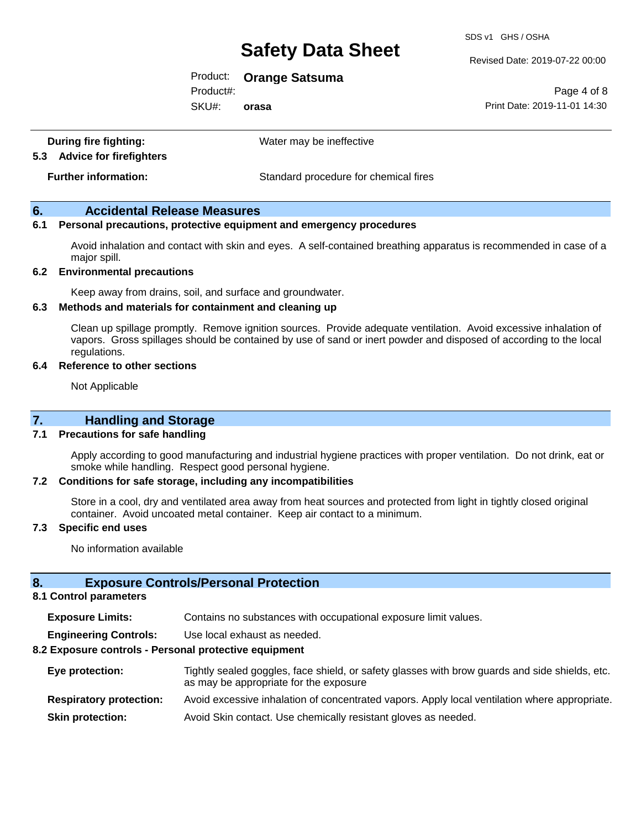SDS v1 GHS / OSHA

Revised Date: 2019-07-22 00:00

Product: **Orange Satsuma**

Product#:

SKU#: **orasa**

Page 4 of 8 Print Date: 2019-11-01 14:30

| During fire fighting:<br>5.3 Advice for firefighters | Water may be ineffective              |
|------------------------------------------------------|---------------------------------------|
| <b>Further information:</b>                          | Standard procedure for chemical fires |

#### **6. Accidental Release Measures**

#### **6.1 Personal precautions, protective equipment and emergency procedures**

Avoid inhalation and contact with skin and eyes. A self-contained breathing apparatus is recommended in case of a major spill.

#### **6.2 Environmental precautions**

Keep away from drains, soil, and surface and groundwater.

#### **6.3 Methods and materials for containment and cleaning up**

Clean up spillage promptly. Remove ignition sources. Provide adequate ventilation. Avoid excessive inhalation of vapors. Gross spillages should be contained by use of sand or inert powder and disposed of according to the local regulations.

#### **6.4 Reference to other sections**

Not Applicable

#### **7.1 Precautions for safe handling**

Apply according to good manufacturing and industrial hygiene practices with proper ventilation. Do not drink, eat or smoke while handling. Respect good personal hygiene.

#### **7.2 Conditions for safe storage, including any incompatibilities**

Store in a cool, dry and ventilated area away from heat sources and protected from light in tightly closed original container. Avoid uncoated metal container. Keep air contact to a minimum.

#### **7.3 Specific end uses**

No information available

#### **8. Exposure Controls/Personal Protection**

#### **8.1 Control parameters**

| <b>Exposure Limits:</b> |  |  |  |  | Contains no substances with occupational exposure limit values. |
|-------------------------|--|--|--|--|-----------------------------------------------------------------|
|-------------------------|--|--|--|--|-----------------------------------------------------------------|

**Engineering Controls:** Use local exhaust as needed.

#### **8.2 Exposure controls - Personal protective equipment**

| Eye protection:                | Tightly sealed goggles, face shield, or safety glasses with brow guards and side shields, etc.<br>as may be appropriate for the exposure |
|--------------------------------|------------------------------------------------------------------------------------------------------------------------------------------|
| <b>Respiratory protection:</b> | Avoid excessive inhalation of concentrated vapors. Apply local ventilation where appropriate.                                            |
| <b>Skin protection:</b>        | Avoid Skin contact. Use chemically resistant gloves as needed.                                                                           |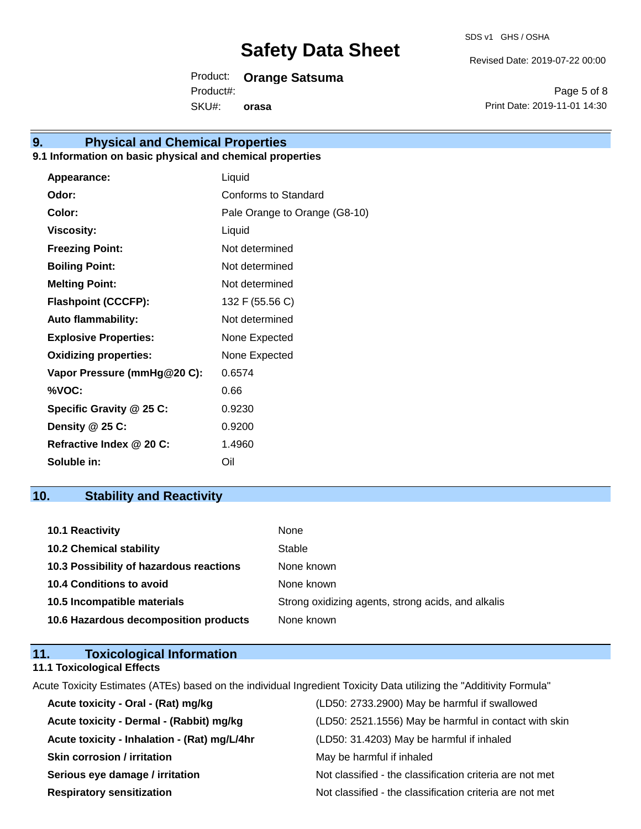Revised Date: 2019-07-22 00:00

Product: **Orange Satsuma**

SKU#: Product#: **orasa**

Page 5 of 8 Print Date: 2019-11-01 14:30

## **9. Physical and Chemical Properties**

#### **9.1 Information on basic physical and chemical properties**

| Appearance:                  | Liquid                        |
|------------------------------|-------------------------------|
| Odor:                        | Conforms to Standard          |
| Color:                       | Pale Orange to Orange (G8-10) |
| <b>Viscosity:</b>            | Liquid                        |
| <b>Freezing Point:</b>       | Not determined                |
| <b>Boiling Point:</b>        | Not determined                |
| <b>Melting Point:</b>        | Not determined                |
| <b>Flashpoint (CCCFP):</b>   | 132 F (55.56 C)               |
| <b>Auto flammability:</b>    | Not determined                |
| <b>Explosive Properties:</b> | None Expected                 |
| <b>Oxidizing properties:</b> | None Expected                 |
| Vapor Pressure (mmHg@20 C):  | 0.6574                        |
| %VOC:                        | 0.66                          |
| Specific Gravity @ 25 C:     | 0.9230                        |
| Density @ 25 C:              | 0.9200                        |
| Refractive Index @ 20 C:     | 1.4960                        |
| Soluble in:                  | Oil                           |

### **10. Stability and Reactivity**

| 10.1 Reactivity                         | None                                               |
|-----------------------------------------|----------------------------------------------------|
| <b>10.2 Chemical stability</b>          | Stable                                             |
| 10.3 Possibility of hazardous reactions | None known                                         |
| <b>10.4 Conditions to avoid</b>         | None known                                         |
| 10.5 Incompatible materials             | Strong oxidizing agents, strong acids, and alkalis |
| 10.6 Hazardous decomposition products   | None known                                         |

#### **11. Toxicological Information 11.1 Toxicological Effects**

Acute Toxicity Estimates (ATEs) based on the individual Ingredient Toxicity Data utilizing the "Additivity Formula"

| Acute toxicity - Oral - (Rat) mg/kg          | (LD50: 2733.2900) May be harmful if swallowed            |
|----------------------------------------------|----------------------------------------------------------|
| Acute toxicity - Dermal - (Rabbit) mg/kg     | (LD50: 2521.1556) May be harmful in contact with skin    |
| Acute toxicity - Inhalation - (Rat) mg/L/4hr | (LD50: 31.4203) May be harmful if inhaled                |
| <b>Skin corrosion / irritation</b>           | May be harmful if inhaled                                |
| Serious eye damage / irritation              | Not classified - the classification criteria are not met |
| <b>Respiratory sensitization</b>             | Not classified - the classification criteria are not met |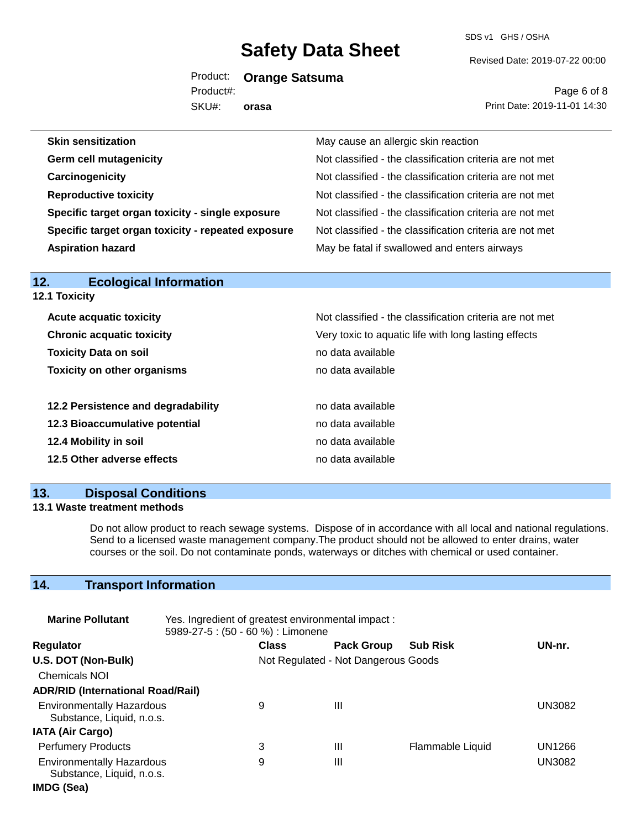SDS v1 GHS / OSHA

Revised Date: 2019-07-22 00:00

Product: **Orange Satsuma** Product#:

SKU#: **orasa**

Page 6 of 8 Print Date: 2019-11-01 14:30

| <b>Skin sensitization</b>                          | May cause an allergic skin reaction                      |
|----------------------------------------------------|----------------------------------------------------------|
| <b>Germ cell mutagenicity</b>                      | Not classified - the classification criteria are not met |
| Carcinogenicity                                    | Not classified - the classification criteria are not met |
| <b>Reproductive toxicity</b>                       | Not classified - the classification criteria are not met |
| Specific target organ toxicity - single exposure   | Not classified - the classification criteria are not met |
| Specific target organ toxicity - repeated exposure | Not classified - the classification criteria are not met |
| <b>Aspiration hazard</b>                           | May be fatal if swallowed and enters airways             |
|                                                    |                                                          |

| .<br>LUUIUGIUGI IIIIUI IIIGUUII    |                                                          |  |  |
|------------------------------------|----------------------------------------------------------|--|--|
| <b>12.1 Toxicity</b>               |                                                          |  |  |
| <b>Acute acquatic toxicity</b>     | Not classified - the classification criteria are not met |  |  |
| <b>Chronic acquatic toxicity</b>   | Very toxic to aquatic life with long lasting effects     |  |  |
| <b>Toxicity Data on soil</b>       | no data available                                        |  |  |
| <b>Toxicity on other organisms</b> | no data available                                        |  |  |
| 12.2 Persistence and degradability | no data available                                        |  |  |
| 12.3 Bioaccumulative potential     | no data available                                        |  |  |
| 12.4 Mobility in soil              | no data available                                        |  |  |
| 12.5 Other adverse effects         | no data available                                        |  |  |
|                                    |                                                          |  |  |

### **13. Disposal Conditions**

**12. Ecological Information** 

#### **13.1 Waste treatment methods**

Do not allow product to reach sewage systems. Dispose of in accordance with all local and national regulations. Send to a licensed waste management company.The product should not be allowed to enter drains, water courses or the soil. Do not contaminate ponds, waterways or ditches with chemical or used container.

### **14. Transport Information**

| <b>Marine Pollutant</b>                                       | Yes. Ingredient of greatest environmental impact:<br>5989-27-5 : (50 - 60 %) : Limonene |              |                                     |                  |               |
|---------------------------------------------------------------|-----------------------------------------------------------------------------------------|--------------|-------------------------------------|------------------|---------------|
| <b>Regulator</b>                                              |                                                                                         | <b>Class</b> | <b>Pack Group</b>                   | <b>Sub Risk</b>  | UN-nr.        |
| U.S. DOT (Non-Bulk)                                           |                                                                                         |              | Not Regulated - Not Dangerous Goods |                  |               |
| <b>Chemicals NOI</b>                                          |                                                                                         |              |                                     |                  |               |
| <b>ADR/RID (International Road/Rail)</b>                      |                                                                                         |              |                                     |                  |               |
| <b>Environmentally Hazardous</b><br>Substance, Liquid, n.o.s. |                                                                                         | 9            | Ш                                   |                  | <b>UN3082</b> |
| <b>IATA (Air Cargo)</b>                                       |                                                                                         |              |                                     |                  |               |
| <b>Perfumery Products</b>                                     |                                                                                         | 3            | Ш                                   | Flammable Liquid | UN1266        |
| <b>Environmentally Hazardous</b><br>Substance, Liquid, n.o.s. |                                                                                         | 9            | Ш                                   |                  | <b>UN3082</b> |
| IMDG (Sea)                                                    |                                                                                         |              |                                     |                  |               |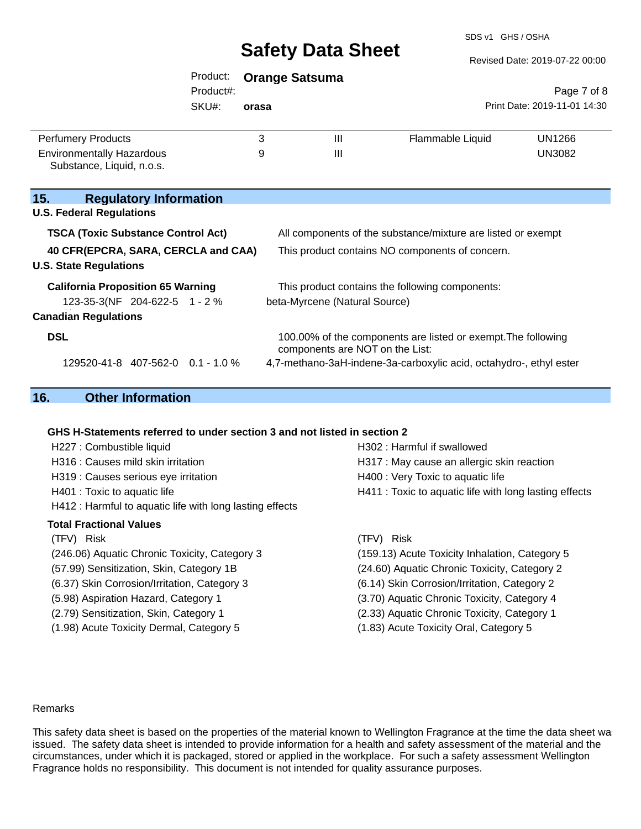SDS v1 GHS / OSHA

|                                                                         | Product:<br>Product#: |       | <b>Orange Satsuma</b>           |                                                                    | Page 7 of 8                  |
|-------------------------------------------------------------------------|-----------------------|-------|---------------------------------|--------------------------------------------------------------------|------------------------------|
|                                                                         | SKU#:                 | orasa |                                 |                                                                    | Print Date: 2019-11-01 14:30 |
| <b>Perfumery Products</b>                                               |                       | 3     | $\mathbf{III}$                  | Flammable Liquid                                                   | UN1266                       |
| <b>Environmentally Hazardous</b><br>Substance, Liquid, n.o.s.           |                       | 9     | Ш                               |                                                                    | <b>UN3082</b>                |
| 15.<br><b>Regulatory Information</b><br><b>U.S. Federal Regulations</b> |                       |       |                                 |                                                                    |                              |
| <b>TSCA (Toxic Substance Control Act)</b>                               |                       |       |                                 | All components of the substance/mixture are listed or exempt       |                              |
| 40 CFR(EPCRA, SARA, CERCLA and CAA)<br><b>U.S. State Regulations</b>    |                       |       |                                 | This product contains NO components of concern.                    |                              |
| <b>California Proposition 65 Warning</b>                                |                       |       |                                 | This product contains the following components:                    |                              |
| 123-35-3(NF 204-622-5 1 - 2 %                                           |                       |       | beta-Myrcene (Natural Source)   |                                                                    |                              |
| <b>Canadian Regulations</b>                                             |                       |       |                                 |                                                                    |                              |
| <b>DSL</b>                                                              |                       |       | components are NOT on the List: | 100.00% of the components are listed or exempt. The following      |                              |
| 129520-41-8 407-562-0 0.1 - 1.0 %                                       |                       |       |                                 | 4,7-methano-3aH-indene-3a-carboxylic acid, octahydro-, ethyl ester |                              |

### **16. Other Information**

#### **GHS H-Statements referred to under section 3 and not listed in section 2**

| H227 : Combustible liquid                                | H302 : Harmful if swallowed                            |
|----------------------------------------------------------|--------------------------------------------------------|
| H316 : Causes mild skin irritation                       | H317 : May cause an allergic skin reaction             |
| H319 : Causes serious eye irritation                     | H400 : Very Toxic to aquatic life                      |
| H401 : Toxic to aquatic life                             | H411 : Toxic to aquatic life with long lasting effects |
| H412 : Harmful to aquatic life with long lasting effects |                                                        |
| <b>Total Fractional Values</b>                           |                                                        |
| (TFV) Risk                                               | (TFV) Risk                                             |
| (246.06) Aquatic Chronic Toxicity, Category 3            | (159.13) Acute Toxicity Inhalation, Category 5         |
| (57.99) Sensitization, Skin, Category 1B                 | (24.60) Aquatic Chronic Toxicity, Category 2           |
| (6.37) Skin Corrosion/Irritation, Category 3             | (6.14) Skin Corrosion/Irritation, Category 2           |
| (5.98) Aspiration Hazard, Category 1                     | (3.70) Aquatic Chronic Toxicity, Category 4            |
| (2.79) Sensitization, Skin, Category 1                   | (2.33) Aquatic Chronic Toxicity, Category 1            |
| (1.98) Acute Toxicity Dermal, Category 5                 | (1.83) Acute Toxicity Oral, Category 5                 |
|                                                          |                                                        |

#### Remarks

This safety data sheet is based on the properties of the material known to Wellington Fragrance at the time the data sheet was issued. The safety data sheet is intended to provide information for a health and safety assessment of the material and the circumstances, under which it is packaged, stored or applied in the workplace. For such a safety assessment Wellington Fragrance holds no responsibility. This document is not intended for quality assurance purposes.